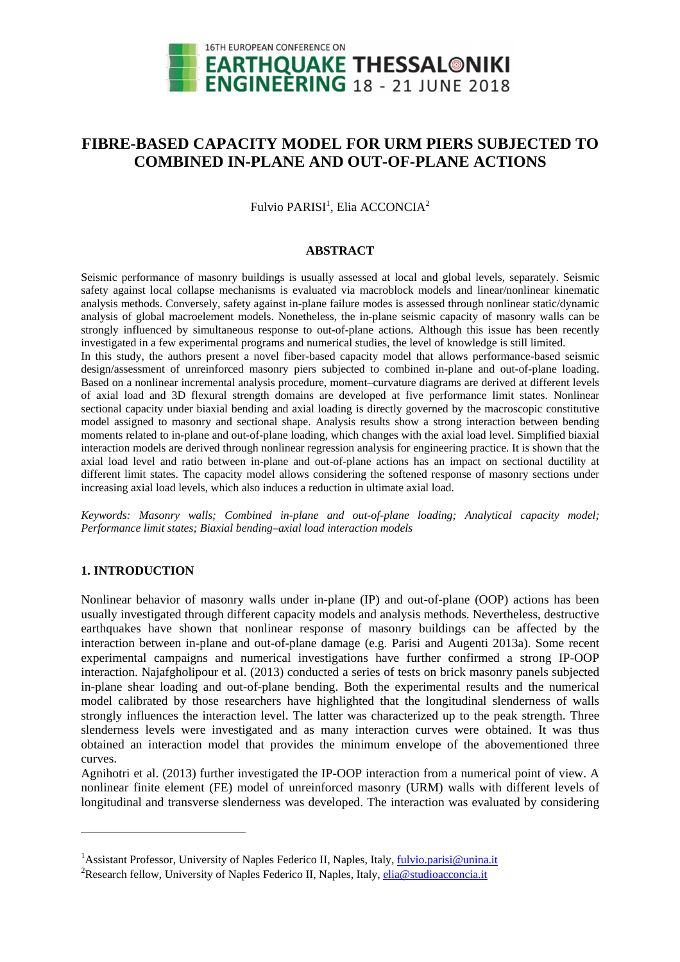

# **FIBRE-BASED CAPACITY MODEL FOR URM PIERS SUBJECTED TO COMBINED IN-PLANE AND OUT-OF-PLANE ACTIONS**

Fulvio PARISI $^1$ , Elia ACCONCIA $^2$ 

#### **ABSTRACT**

Seismic performance of masonry buildings is usually assessed at local and global levels, separately. Seismic safety against local collapse mechanisms is evaluated via macroblock models and linear/nonlinear kinematic analysis methods. Conversely, safety against in-plane failure modes is assessed through nonlinear static/dynamic analysis of global macroelement models. Nonetheless, the in-plane seismic capacity of masonry walls can be strongly influenced by simultaneous response to out-of-plane actions. Although this issue has been recently investigated in a few experimental programs and numerical studies, the level of knowledge is still limited. In this study, the authors present a novel fiber-based capacity model that allows performance-based seismic design/assessment of unreinforced masonry piers subjected to combined in-plane and out-of-plane loading. Based on a nonlinear incremental analysis procedure, moment–curvature diagrams are derived at different levels of axial load and 3D flexural strength domains are developed at five performance limit states. Nonlinear sectional capacity under biaxial bending and axial loading is directly governed by the macroscopic constitutive model assigned to masonry and sectional shape. Analysis results show a strong interaction between bending moments related to in-plane and out-of-plane loading, which changes with the axial load level. Simplified biaxial interaction models are derived through nonlinear regression analysis for engineering practice. It is shown that the axial load level and ratio between in-plane and out-of-plane actions has an impact on sectional ductility at different limit states. The capacity model allows considering the softened response of masonry sections under increasing axial load levels, which also induces a reduction in ultimate axial load.

*Keywords: Masonry walls; Combined in-plane and out-of-plane loading; Analytical capacity model; Performance limit states; Biaxial bending–axial load interaction models* 

## **1. INTRODUCTION**

 $\overline{a}$ 

Nonlinear behavior of masonry walls under in-plane (IP) and out-of-plane (OOP) actions has been usually investigated through different capacity models and analysis methods. Nevertheless, destructive earthquakes have shown that nonlinear response of masonry buildings can be affected by the interaction between in-plane and out-of-plane damage (e.g. Parisi and Augenti 2013a). Some recent experimental campaigns and numerical investigations have further confirmed a strong IP-OOP interaction. Najafgholipour et al. (2013) conducted a series of tests on brick masonry panels subjected in-plane shear loading and out-of-plane bending. Both the experimental results and the numerical model calibrated by those researchers have highlighted that the longitudinal slenderness of walls strongly influences the interaction level. The latter was characterized up to the peak strength. Three slenderness levels were investigated and as many interaction curves were obtained. It was thus obtained an interaction model that provides the minimum envelope of the abovementioned three curves.

Agnihotri et al. (2013) further investigated the IP-OOP interaction from a numerical point of view. A nonlinear finite element (FE) model of unreinforced masonry (URM) walls with different levels of longitudinal and transverse slenderness was developed. The interaction was evaluated by considering

<sup>&</sup>lt;sup>1</sup> Assistant Professor, University of Naples Federico II, Naples, Italy, *fulvio.parisi@unina.it* 

<sup>&</sup>lt;sup>2</sup>Research fellow, University of Naples Federico II, Naples, Italy, elia@studioacconcia.it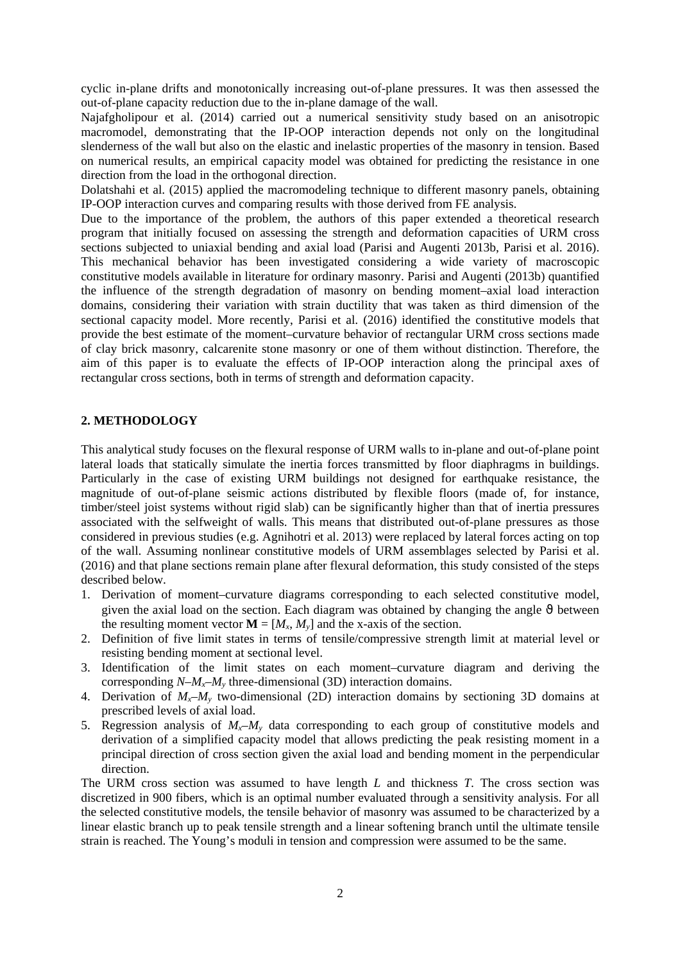cyclic in-plane drifts and monotonically increasing out-of-plane pressures. It was then assessed the out-of-plane capacity reduction due to the in-plane damage of the wall.

Najafgholipour et al. (2014) carried out a numerical sensitivity study based on an anisotropic macromodel, demonstrating that the IP-OOP interaction depends not only on the longitudinal slenderness of the wall but also on the elastic and inelastic properties of the masonry in tension. Based on numerical results, an empirical capacity model was obtained for predicting the resistance in one direction from the load in the orthogonal direction.

Dolatshahi et al. (2015) applied the macromodeling technique to different masonry panels, obtaining IP-OOP interaction curves and comparing results with those derived from FE analysis.

Due to the importance of the problem, the authors of this paper extended a theoretical research program that initially focused on assessing the strength and deformation capacities of URM cross sections subjected to uniaxial bending and axial load (Parisi and Augenti 2013b, Parisi et al. 2016). This mechanical behavior has been investigated considering a wide variety of macroscopic constitutive models available in literature for ordinary masonry. Parisi and Augenti (2013b) quantified the influence of the strength degradation of masonry on bending moment–axial load interaction domains, considering their variation with strain ductility that was taken as third dimension of the sectional capacity model. More recently, Parisi et al. (2016) identified the constitutive models that provide the best estimate of the moment–curvature behavior of rectangular URM cross sections made of clay brick masonry, calcarenite stone masonry or one of them without distinction. Therefore, the aim of this paper is to evaluate the effects of IP-OOP interaction along the principal axes of rectangular cross sections, both in terms of strength and deformation capacity.

## **2. METHODOLOGY**

This analytical study focuses on the flexural response of URM walls to in-plane and out-of-plane point lateral loads that statically simulate the inertia forces transmitted by floor diaphragms in buildings. Particularly in the case of existing URM buildings not designed for earthquake resistance, the magnitude of out-of-plane seismic actions distributed by flexible floors (made of, for instance, timber/steel joist systems without rigid slab) can be significantly higher than that of inertia pressures associated with the selfweight of walls. This means that distributed out-of-plane pressures as those considered in previous studies (e.g. Agnihotri et al. 2013) were replaced by lateral forces acting on top of the wall. Assuming nonlinear constitutive models of URM assemblages selected by Parisi et al. (2016) and that plane sections remain plane after flexural deformation, this study consisted of the steps described below.

- 1. Derivation of moment–curvature diagrams corresponding to each selected constitutive model, given the axial load on the section. Each diagram was obtained by changing the angle  $\vartheta$  between the resulting moment vector  $\mathbf{M} = [M_x, M_y]$  and the x-axis of the section.
- 2. Definition of five limit states in terms of tensile/compressive strength limit at material level or resisting bending moment at sectional level.
- 3. Identification of the limit states on each moment–curvature diagram and deriving the corresponding  $N-M_x-M_y$  three-dimensional (3D) interaction domains.
- 4. Derivation of  $M_x$ – $M_y$  two-dimensional (2D) interaction domains by sectioning 3D domains at prescribed levels of axial load.
- 5. Regression analysis of  $M_x$ – $M_y$  data corresponding to each group of constitutive models and derivation of a simplified capacity model that allows predicting the peak resisting moment in a principal direction of cross section given the axial load and bending moment in the perpendicular direction.

The URM cross section was assumed to have length *L* and thickness *T*. The cross section was discretized in 900 fibers, which is an optimal number evaluated through a sensitivity analysis. For all the selected constitutive models, the tensile behavior of masonry was assumed to be characterized by a linear elastic branch up to peak tensile strength and a linear softening branch until the ultimate tensile strain is reached. The Young's moduli in tension and compression were assumed to be the same.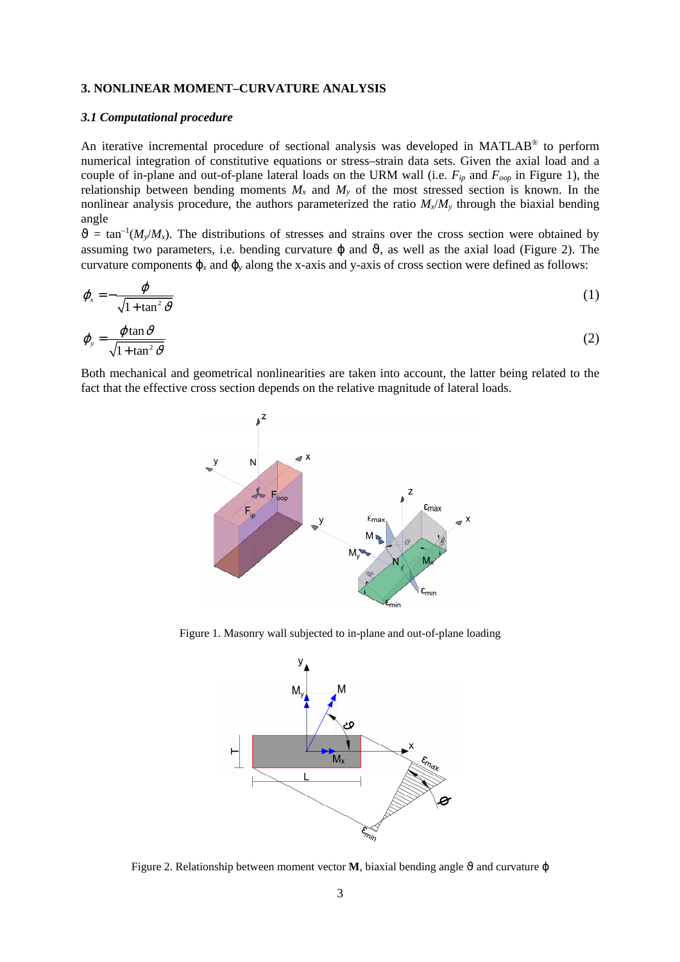## **3. NONLINEAR MOMENT–CURVATURE ANALYSIS**

#### *3.1 Computational procedure*

An iterative incremental procedure of sectional analysis was developed in MATLAB® to perform numerical integration of constitutive equations or stress–strain data sets. Given the axial load and a couple of in-plane and out-of-plane lateral loads on the URM wall (i.e. *Fip* and *Foop* in Figure 1), the relationship between bending moments  $M_x$  and  $M_y$  of the most stressed section is known. In the nonlinear analysis procedure, the authors parameterized the ratio  $M_x/M_y$  through the biaxial bending angle

 $\vartheta = \tan^{-1}(M_v/M_x)$ . The distributions of stresses and strains over the cross section were obtained by assuming two parameters, i.e. bending curvature  $\varphi$  and  $\vartheta$ , as well as the axial load (Figure 2). The curvature components  $\varphi_x$  and  $\varphi_y$  along the x-axis and y-axis of cross section were defined as follows:

$$
\varphi_{x} = -\frac{\varphi}{\sqrt{1 + \tan^2 \vartheta}}
$$
\n(1)

$$
\varphi_{y} = \frac{\varphi \tan \vartheta}{\sqrt{1 + \tan^2 \vartheta}}
$$
\n(2)

Both mechanical and geometrical nonlinearities are taken into account, the latter being related to the fact that the effective cross section depends on the relative magnitude of lateral loads.



Figure 1. Masonry wall subjected to in-plane and out-of-plane loading



Figure 2. Relationship between moment vector **M**, biaxial bending angle  $\vartheta$  and curvature  $\varphi$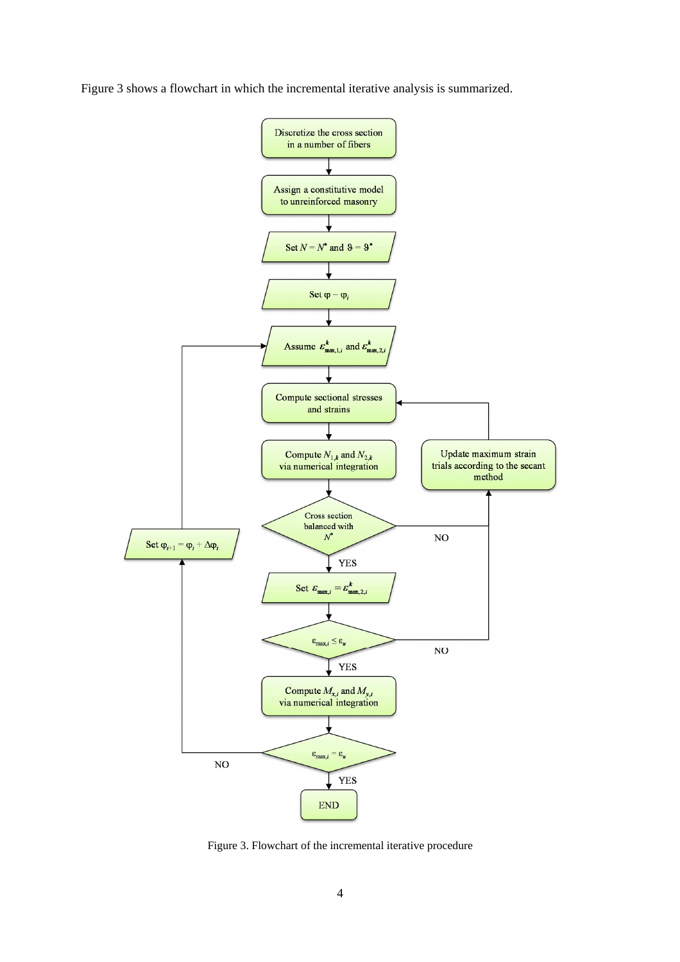Figure 3 shows a flowchart in which the incremental iterative analysis is summarized.



Figure 3. Flowchart of the incremental iterative procedure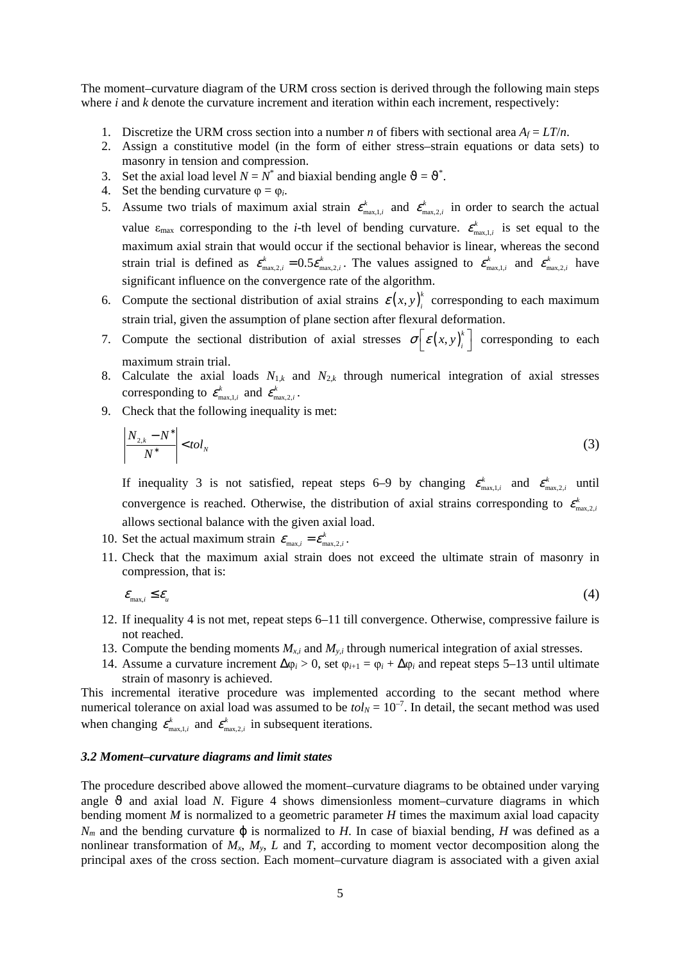The moment–curvature diagram of the URM cross section is derived through the following main steps where *i* and *k* denote the curvature increment and iteration within each increment, respectively:

- 1. Discretize the URM cross section into a number *n* of fibers with sectional area  $A_f = LT/n$ .
- 2. Assign a constitutive model (in the form of either stress–strain equations or data sets) to masonry in tension and compression.
- 3. Set the axial load level  $N = N^*$  and biaxial bending angle  $\vartheta = \vartheta^*$ .
- 4. Set the bending curvature  $\varphi = \varphi_i$ .
- 5. Assume two trials of maximum axial strain  $\varepsilon_{\text{max},1,i}^k$  and  $\varepsilon_{\text{max},2,i}^k$  in order to search the actual value  $\varepsilon_{\text{max}}$  corresponding to the *i*-th level of bending curvature.  $\varepsilon_{\text{max},1,i}^k$  is set equal to the maximum axial strain that would occur if the sectional behavior is linear, whereas the second strain trial is defined as  $\varepsilon_{\max,2,i}^k = 0.5 \varepsilon_{\max,2,i}^k$ . The values assigned to  $\varepsilon_{\max,1,i}^k$  and  $\varepsilon_{\max,2,i}^k$  have significant influence on the convergence rate of the algorithm.
- 6. Compute the sectional distribution of axial strains  $\varepsilon(x, y)$  $\varepsilon$ (*x*, *y*)<sup>\*</sup> corresponding to each maximum strain trial, given the assumption of plane section after flexural deformation.
- 7. Compute the sectional distribution of axial stresses  $\sigma \left[ \varepsilon (x, y) \right]$  $\sigma\left[\varepsilon(x, y)\right]$ <sup>k</sup> corresponding to each maximum strain trial.
- 8. Calculate the axial loads  $N_{1,k}$  and  $N_{2,k}$  through numerical integration of axial stresses corresponding to  $\varepsilon_{\max,1,i}^k$  and  $\varepsilon_{\max,2,i}^k$ .
- 9. Check that the following inequality is met:

$$
\left| \frac{N_{2,k} - N^*}{N^*} \right| < tol_N \tag{3}
$$

If inequality 3 is not satisfied, repeat steps 6–9 by changing  $\varepsilon_{\max,1,i}^k$  and  $\varepsilon_{\max,2,i}^k$  until convergence is reached. Otherwise, the distribution of axial strains corresponding to  $\varepsilon_{\max,2,i}^k$ allows sectional balance with the given axial load.

- 10. Set the actual maximum strain  $\varepsilon_{\text{max},i} = \varepsilon_{\text{max},2,i}^k$ .
- 11. Check that the maximum axial strain does not exceed the ultimate strain of masonry in compression, that is:

$$
\varepsilon_{\max,i} \leq \varepsilon_u \tag{4}
$$

- 12. If inequality 4 is not met, repeat steps 6–11 till convergence. Otherwise, compressive failure is not reached.
- 13. Compute the bending moments  $M_{x,i}$  and  $M_{y,i}$  through numerical integration of axial stresses.
- 14. Assume a curvature increment  $\Delta \varphi_i > 0$ , set  $\varphi_{i+1} = \varphi_i + \Delta \varphi_i$  and repeat steps 5–13 until ultimate strain of masonry is achieved.

This incremental iterative procedure was implemented according to the secant method where numerical tolerance on axial load was assumed to be  $tol<sub>N</sub> = 10<sup>-7</sup>$ . In detail, the secant method was used when changing  $\varepsilon_{\max,1,i}^k$  and  $\varepsilon_{\max,2,i}^k$  in subsequent iterations.

#### *3.2 Moment–curvature diagrams and limit states*

The procedure described above allowed the moment–curvature diagrams to be obtained under varying angle  $\vartheta$  and axial load *N*. Figure 4 shows dimensionless moment–curvature diagrams in which bending moment *M* is normalized to a geometric parameter *H* times the maximum axial load capacity  $N<sub>m</sub>$  and the bending curvature  $\varphi$  is normalized to *H*. In case of biaxial bending, *H* was defined as a nonlinear transformation of  $M_x$ ,  $M_y$ ,  $L$  and  $T$ , according to moment vector decomposition along the principal axes of the cross section. Each moment–curvature diagram is associated with a given axial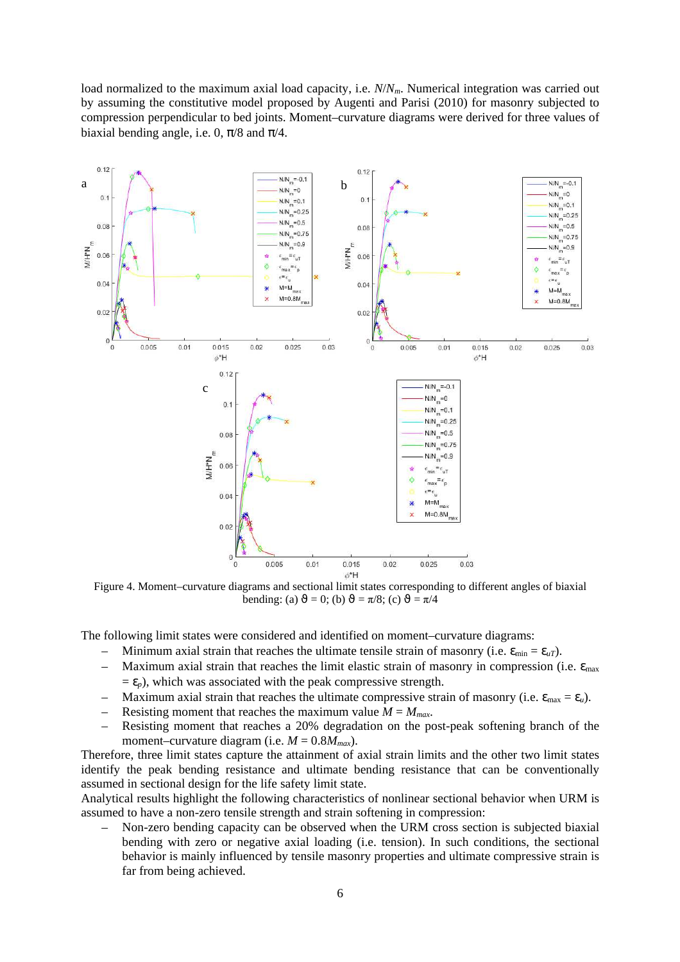load normalized to the maximum axial load capacity, i.e. *N*/*Nm*. Numerical integration was carried out by assuming the constitutive model proposed by Augenti and Parisi (2010) for masonry subjected to compression perpendicular to bed joints. Moment–curvature diagrams were derived for three values of biaxial bending angle, i.e. 0,  $\pi/8$  and  $\pi/4$ .



Figure 4. Moment–curvature diagrams and sectional limit states corresponding to different angles of biaxial bending: (a)  $\vartheta = 0$ ; (b)  $\vartheta = \pi/8$ ; (c)  $\vartheta = \pi/4$ 

The following limit states were considered and identified on moment–curvature diagrams:

- Minimum axial strain that reaches the ultimate tensile strain of masonry (i.e.  $\varepsilon_{min} = \varepsilon_{uT}$ ).
- Maximum axial strain that reaches the limit elastic strain of masonry in compression (i.e.  $\varepsilon_{\text{max}}$ )  $= \varepsilon_p$ ), which was associated with the peak compressive strength.
- Maximum axial strain that reaches the ultimate compressive strain of masonry (i.e.  $\varepsilon_{\text{max}} = \varepsilon_u$ ).
- Resisting moment that reaches the maximum value  $M = M_{max}$ .
- Resisting moment that reaches a 20% degradation on the post-peak softening branch of the moment–curvature diagram (i.e.  $M = 0.8M_{max}$ ).

Therefore, three limit states capture the attainment of axial strain limits and the other two limit states identify the peak bending resistance and ultimate bending resistance that can be conventionally assumed in sectional design for the life safety limit state.

Analytical results highlight the following characteristics of nonlinear sectional behavior when URM is assumed to have a non-zero tensile strength and strain softening in compression:

– Non-zero bending capacity can be observed when the URM cross section is subjected biaxial bending with zero or negative axial loading (i.e. tension). In such conditions, the sectional behavior is mainly influenced by tensile masonry properties and ultimate compressive strain is far from being achieved.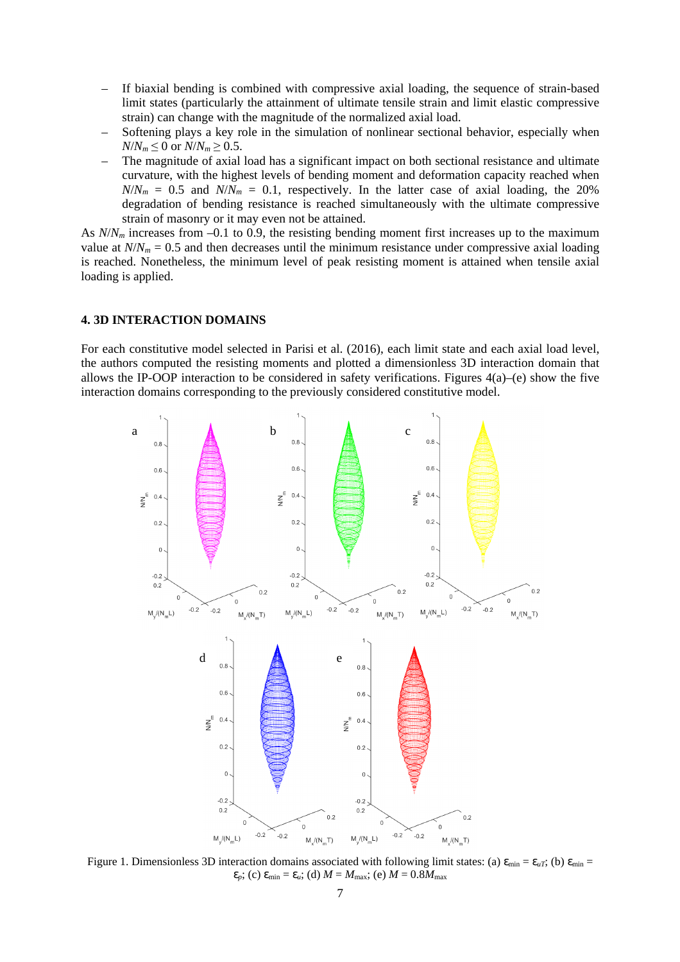- If biaxial bending is combined with compressive axial loading, the sequence of strain-based limit states (particularly the attainment of ultimate tensile strain and limit elastic compressive strain) can change with the magnitude of the normalized axial load.
- Softening plays a key role in the simulation of nonlinear sectional behavior, especially when  $N/N_m \leq 0$  or  $N/N_m \geq 0.5$ .
- The magnitude of axial load has a significant impact on both sectional resistance and ultimate curvature, with the highest levels of bending moment and deformation capacity reached when  $N/N_m = 0.5$  and  $N/N_m = 0.1$ , respectively. In the latter case of axial loading, the 20% degradation of bending resistance is reached simultaneously with the ultimate compressive strain of masonry or it may even not be attained.

As  $N/N_m$  increases from –0.1 to 0.9, the resisting bending moment first increases up to the maximum value at  $N/N_m = 0.5$  and then decreases until the minimum resistance under compressive axial loading is reached. Nonetheless, the minimum level of peak resisting moment is attained when tensile axial loading is applied.

#### **4. 3D INTERACTION DOMAINS**

For each constitutive model selected in Parisi et al. (2016), each limit state and each axial load level, the authors computed the resisting moments and plotted a dimensionless 3D interaction domain that allows the IP-OOP interaction to be considered in safety verifications. Figures 4(a)–(e) show the five interaction domains corresponding to the previously considered constitutive model.



Figure 1. Dimensionless 3D interaction domains associated with following limit states: (a)  $\varepsilon_{\text{min}} = \varepsilon_{uT}$ ; (b)  $\varepsilon_{\text{min}} =$  $\varepsilon_p$ ; (c)  $\varepsilon_{\min} = \varepsilon_u$ ; (d)  $M = M_{\max}$ ; (e)  $M = 0.8M_{\max}$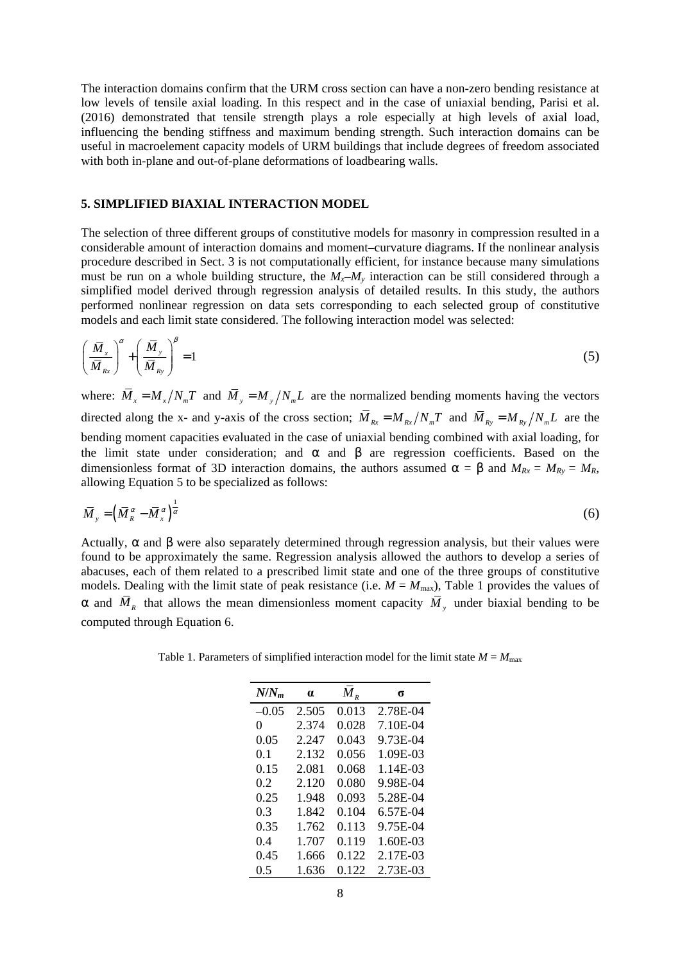The interaction domains confirm that the URM cross section can have a non-zero bending resistance at low levels of tensile axial loading. In this respect and in the case of uniaxial bending, Parisi et al. (2016) demonstrated that tensile strength plays a role especially at high levels of axial load, influencing the bending stiffness and maximum bending strength. Such interaction domains can be useful in macroelement capacity models of URM buildings that include degrees of freedom associated with both in-plane and out-of-plane deformations of loadbearing walls.

## **5. SIMPLIFIED BIAXIAL INTERACTION MODEL**

The selection of three different groups of constitutive models for masonry in compression resulted in a considerable amount of interaction domains and moment–curvature diagrams. If the nonlinear analysis procedure described in Sect. 3 is not computationally efficient, for instance because many simulations must be run on a whole building structure, the  $M<sub>x</sub>$ – $M<sub>y</sub>$  interaction can be still considered through a simplified model derived through regression analysis of detailed results. In this study, the authors performed nonlinear regression on data sets corresponding to each selected group of constitutive models and each limit state considered. The following interaction model was selected:

$$
\left(\frac{\overline{M}}{\overline{M}_{Rx}}\right)^{\alpha} + \left(\frac{\overline{M}_{y}}{\overline{M}_{Ry}}\right)^{\beta} = 1
$$
\n(5)

where:  $\overline{M}_x = M_x / N_m T$  and  $\overline{M}_y = M_y / N_m L$  are the normalized bending moments having the vectors directed along the x- and y-axis of the cross section;  $\overline{M}_{Rx} = M_{Rx}/N_mT$  and  $\overline{M}_{Ry} = M_{Ry}/N_mL$  are the bending moment capacities evaluated in the case of uniaxial bending combined with axial loading, for the limit state under consideration; and  $\alpha$  and  $\beta$  are regression coefficients. Based on the dimensionless format of 3D interaction domains, the authors assumed  $\alpha = \beta$  and  $M_{Rx} = M_{Ry} = M_R$ , allowing Equation 5 to be specialized as follows:

$$
\overline{M}_{y} = \left(\overline{M}_{R}^{\alpha} - \overline{M}_{x}^{\alpha}\right)^{\frac{1}{\alpha}}
$$
\n<sup>(6)</sup>

Actually,  $\alpha$  and  $\beta$  were also separately determined through regression analysis, but their values were found to be approximately the same. Regression analysis allowed the authors to develop a series of abacuses, each of them related to a prescribed limit state and one of the three groups of constitutive models. Dealing with the limit state of peak resistance (i.e.  $M = M_{\text{max}}$ ), Table 1 provides the values of  $\alpha$  and  $M_R$  that allows the mean dimensionless moment capacity  $M_\gamma$  under biaxial bending to be computed through Equation 6.

Table 1. Parameters of simplified interaction model for the limit state  $M = M_{\text{max}}$ 

| $N/N_m$ | $\alpha$ | $M_{R}$ | σ        |
|---------|----------|---------|----------|
| $-0.05$ | 2.505    | 0.013   | 2.78E-04 |
| 0       | 2.374    | 0.028   | 7.10E-04 |
| 0.05    | 2.247    | 0.043   | 9.73E-04 |
| 0.1     | 2.132    | 0.056   | 1.09E-03 |
| 0.15    | 2.081    | 0.068   | 1.14E-03 |
| 0.2     | 2.120    | 0.080   | 9.98E-04 |
| 0.25    | 1.948    | 0.093   | 5.28E-04 |
| 0.3     | 1.842    | 0.104   | 6.57E-04 |
| 0.35    | 1.762    | 0.113   | 9.75E-04 |
| 0.4     | 1.707    | 0.119   | 1.60E-03 |
| 0.45    | 1.666    | 0.122   | 2.17E-03 |
| 0.5     | 1.636    | 0.122   | 2.73E-03 |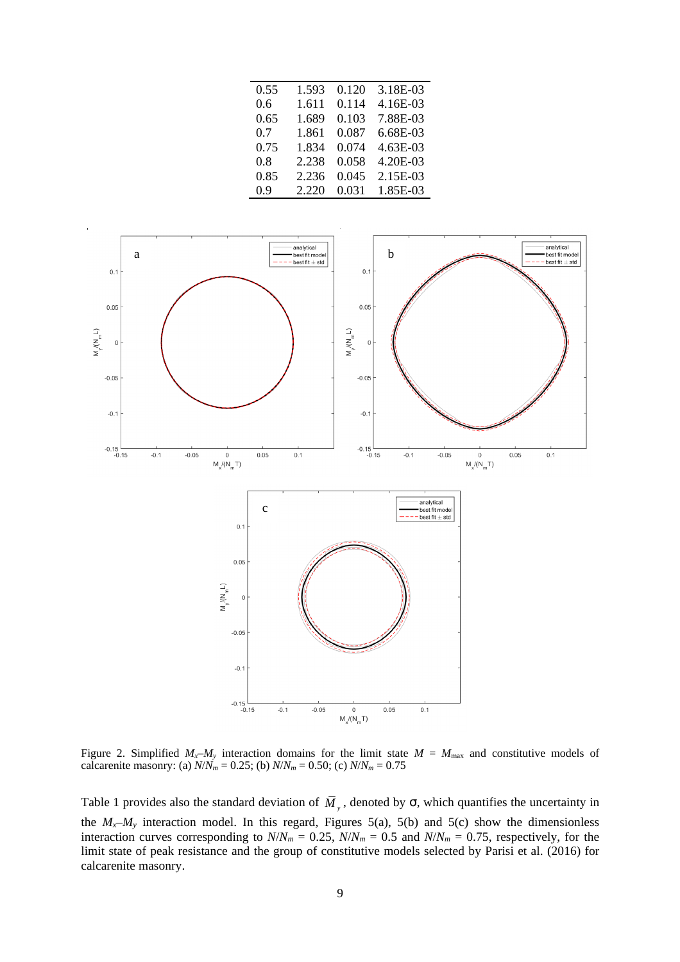| 0.55 | 1.593 | 0.120 | 3.18E-03 |
|------|-------|-------|----------|
| 0.6  | 1.611 | 0.114 | 4.16E-03 |
| 0.65 | 1.689 | 0.103 | 7.88E-03 |
| 0.7  | 1.861 | 0.087 | 6.68E-03 |
| 0.75 | 1.834 | 0.074 | 4.63E-03 |
| 0.8  | 2.238 | 0.058 | 4.20E-03 |
| 0.85 | 2.236 | 0.045 | 2.15E-03 |
| 0.9  | 2.220 | 0.031 | 1.85E-03 |



Figure 2. Simplified  $M_x - M_y$  interaction domains for the limit state  $M = M_{\text{max}}$  and constitutive models of calcarenite masonry: (a)  $N/N_m = 0.25$ ; (b)  $N/N_m = 0.50$ ; (c)  $N/N_m = 0.75$ 

Table 1 provides also the standard deviation of  $M<sub>y</sub>$ , denoted by  $\sigma$ , which quantifies the uncertainty in the  $M_x$ – $M_y$  interaction model. In this regard, Figures 5(a), 5(b) and 5(c) show the dimensionless interaction curves corresponding to  $N/N_m = 0.25$ ,  $N/N_m = 0.5$  and  $N/N_m = 0.75$ , respectively, for the limit state of peak resistance and the group of constitutive models selected by Parisi et al. (2016) for calcarenite masonry.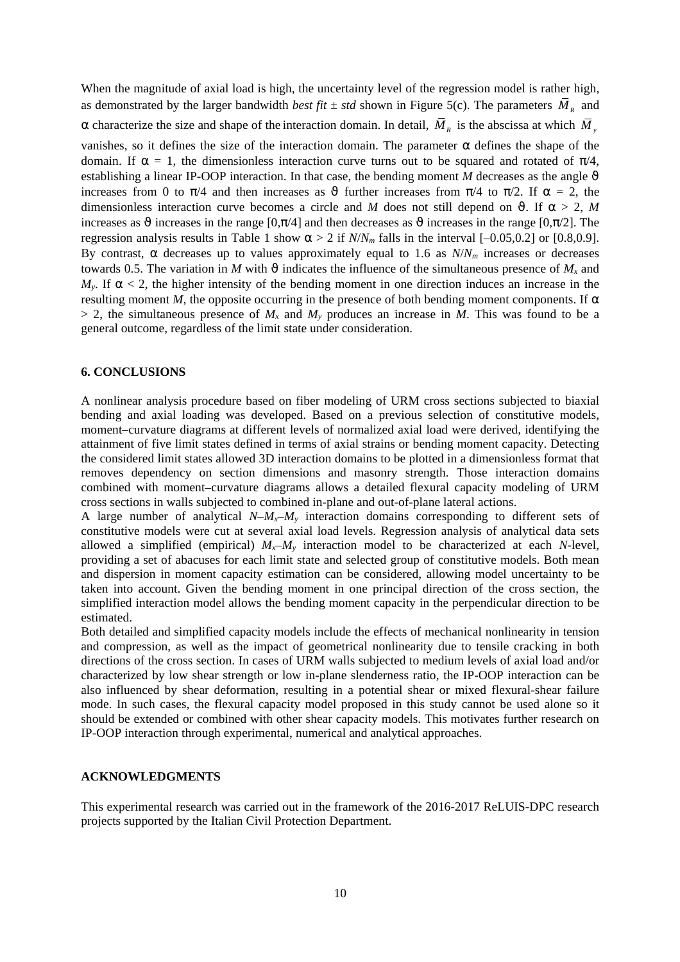When the magnitude of axial load is high, the uncertainty level of the regression model is rather high, as demonstrated by the larger bandwidth *best fit*  $\pm$  *std* shown in Figure 5(c). The parameters  $M_R$  and  $\alpha$  characterize the size and shape of the interaction domain. In detail,  $M_{R}$  is the abscissa at which  $M_{y}$ vanishes, so it defines the size of the interaction domain. The parameter  $\alpha$  defines the shape of the domain. If  $\alpha = 1$ , the dimensionless interaction curve turns out to be squared and rotated of  $\pi/4$ , establishing a linear IP-OOP interaction. In that case, the bending moment *M* decreases as the angle  $\vartheta$ increases from 0 to  $\pi/4$  and then increases as  $\vartheta$  further increases from  $\pi/4$  to  $\pi/2$ . If  $\alpha = 2$ , the dimensionless interaction curve becomes a circle and *M* does not still depend on  $\vartheta$ . If  $\alpha > 2$ , *M* increases as  $\vartheta$  increases in the range [0, $\pi/4$ ] and then decreases as  $\vartheta$  increases in the range [0, $\pi/2$ ]. The regression analysis results in Table 1 show  $\alpha$  > 2 if *N*/*N<sub>m</sub>* falls in the interval [-0.05,0.2] or [0.8,0.9]. By contrast,  $\alpha$  decreases up to values approximately equal to 1.6 as  $N/N_m$  increases or decreases towards 0.5. The variation in *M* with  $\vartheta$  indicates the influence of the simultaneous presence of  $M_x$  and  $M_{\nu}$ . If  $\alpha$  < 2, the higher intensity of the bending moment in one direction induces an increase in the resulting moment *M*, the opposite occurring in the presence of both bending moment components. If  $\alpha$  $> 2$ , the simultaneous presence of  $M_x$  and  $M_y$  produces an increase in *M*. This was found to be a general outcome, regardless of the limit state under consideration.

#### **6. CONCLUSIONS**

A nonlinear analysis procedure based on fiber modeling of URM cross sections subjected to biaxial bending and axial loading was developed. Based on a previous selection of constitutive models, moment–curvature diagrams at different levels of normalized axial load were derived, identifying the attainment of five limit states defined in terms of axial strains or bending moment capacity. Detecting the considered limit states allowed 3D interaction domains to be plotted in a dimensionless format that removes dependency on section dimensions and masonry strength. Those interaction domains combined with moment–curvature diagrams allows a detailed flexural capacity modeling of URM cross sections in walls subjected to combined in-plane and out-of-plane lateral actions.

A large number of analytical  $N-M<sub>x</sub>-M<sub>y</sub>$  interaction domains corresponding to different sets of constitutive models were cut at several axial load levels. Regression analysis of analytical data sets allowed a simplified (empirical)  $M_x$ – $M_y$  interaction model to be characterized at each *N*-level, providing a set of abacuses for each limit state and selected group of constitutive models. Both mean and dispersion in moment capacity estimation can be considered, allowing model uncertainty to be taken into account. Given the bending moment in one principal direction of the cross section, the simplified interaction model allows the bending moment capacity in the perpendicular direction to be estimated.

Both detailed and simplified capacity models include the effects of mechanical nonlinearity in tension and compression, as well as the impact of geometrical nonlinearity due to tensile cracking in both directions of the cross section. In cases of URM walls subjected to medium levels of axial load and/or characterized by low shear strength or low in-plane slenderness ratio, the IP-OOP interaction can be also influenced by shear deformation, resulting in a potential shear or mixed flexural-shear failure mode. In such cases, the flexural capacity model proposed in this study cannot be used alone so it should be extended or combined with other shear capacity models. This motivates further research on IP-OOP interaction through experimental, numerical and analytical approaches.

### **ACKNOWLEDGMENTS**

This experimental research was carried out in the framework of the 2016-2017 ReLUIS-DPC research projects supported by the Italian Civil Protection Department.